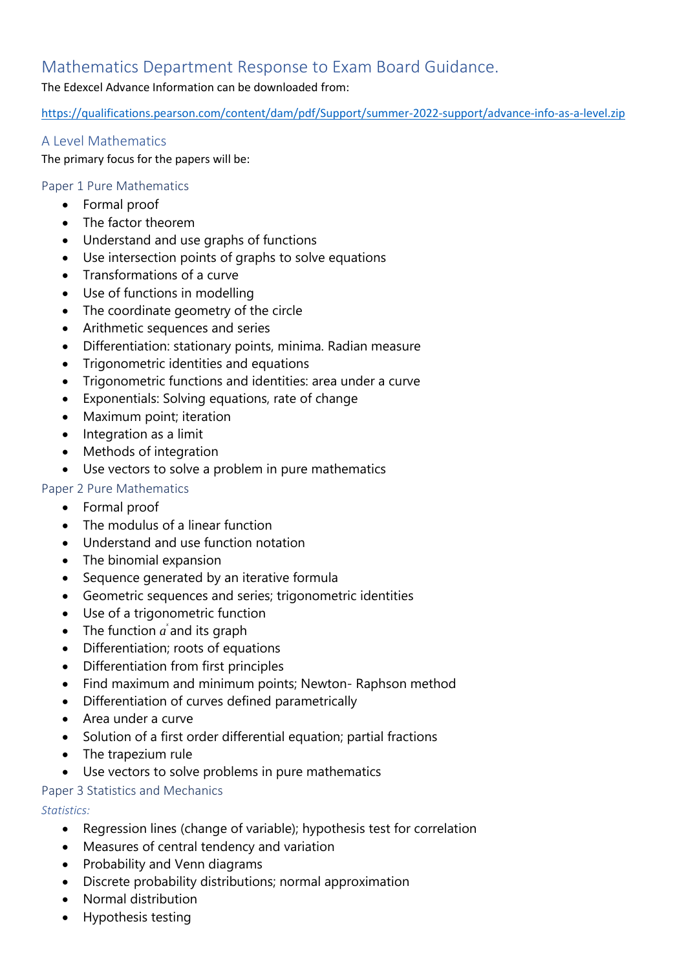# Mathematics Department Response to Exam Board Guidance.

### The Edexcel Advance Information can be downloaded from:

<https://qualifications.pearson.com/content/dam/pdf/Support/summer-2022-support/advance-info-as-a-level.zip>

### A Level Mathematics

The primary focus for the papers will be:

### Paper 1 Pure Mathematics

- Formal proof
- The factor theorem
- Understand and use graphs of functions
- Use intersection points of graphs to solve equations
- Transformations of a curve
- Use of functions in modelling
- The coordinate geometry of the circle
- Arithmetic sequences and series
- Differentiation: stationary points, minima. Radian measure
- Trigonometric identities and equations
- Trigonometric functions and identities: area under a curve
- Exponentials: Solving equations, rate of change
- Maximum point; iteration
- Integration as a limit
- Methods of integration
- Use vectors to solve a problem in pure mathematics

## Paper 2 Pure Mathematics

- Formal proof
- The modulus of a linear function
- Understand and use function notation
- The binomial expansion
- Sequence generated by an iterative formula
- Geometric sequences and series; trigonometric identities
- Use of a trigonometric function
- The function  $\vec{a}$  and its graph
- Differentiation; roots of equations
- Differentiation from first principles
- Find maximum and minimum points; Newton- Raphson method
- Differentiation of curves defined parametrically
- Area under a curve
- Solution of a first order differential equation; partial fractions
- The trapezium rule
- Use vectors to solve problems in pure mathematics

### Paper 3 Statistics and Mechanics

*Statistics:*

- Regression lines (change of variable); hypothesis test for correlation
- Measures of central tendency and variation
- Probability and Venn diagrams
- Discrete probability distributions; normal approximation
- Normal distribution
- Hypothesis testing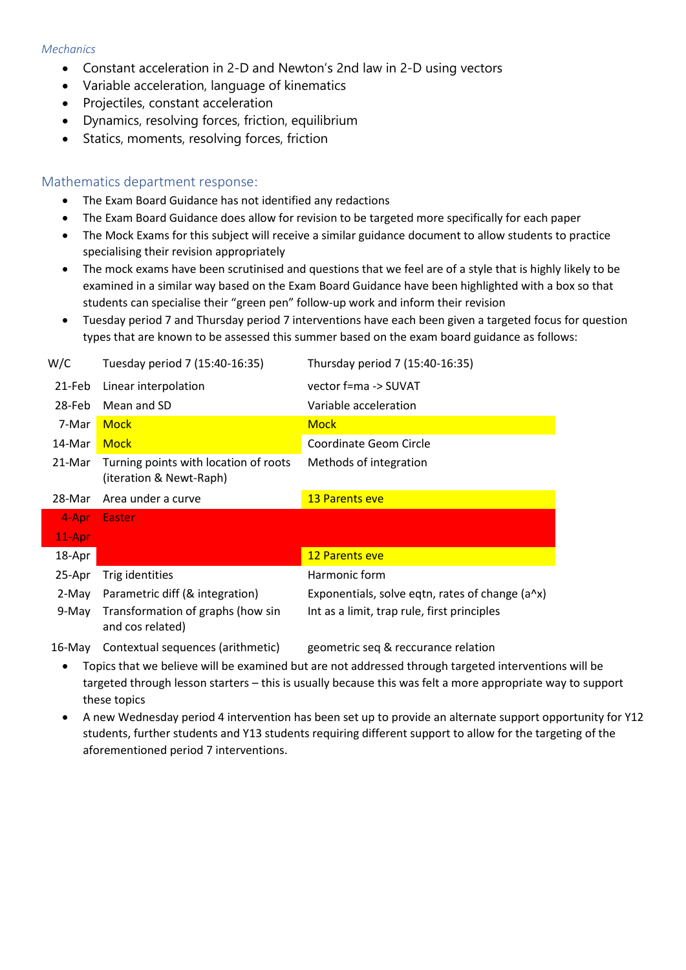#### *Mechanics*

- Constant acceleration in 2-D and Newton's 2nd law in 2-D using vectors
- Variable acceleration, language of kinematics
- Projectiles, constant acceleration
- Dynamics, resolving forces, friction, equilibrium
- Statics, moments, resolving forces, friction

#### Mathematics department response:

- The Exam Board Guidance has not identified any redactions
- The Exam Board Guidance does allow for revision to be targeted more specifically for each paper
- The Mock Exams for this subject will receive a similar guidance document to allow students to practice specialising their revision appropriately
- The mock exams have been scrutinised and questions that we feel are of a style that is highly likely to be examined in a similar way based on the Exam Board Guidance have been highlighted with a box so that students can specialise their "green pen" follow-up work and inform their revision
- Tuesday period 7 and Thursday period 7 interventions have each been given a targeted focus for question types that are known to be assessed this summer based on the exam board guidance as follows:

| W/C    | Tuesday period 7 (15:40-16:35)                                   | Thursday period 7 (15:40-16:35)                 |
|--------|------------------------------------------------------------------|-------------------------------------------------|
| 21-Feb | Linear interpolation                                             | vector f=ma -> SUVAT                            |
| 28-Feb | Mean and SD                                                      | Variable acceleration                           |
| 7-Mar  | <b>Mock</b>                                                      | <b>Mock</b>                                     |
| 14-Mar | <b>Mock</b>                                                      | Coordinate Geom Circle                          |
| 21-Mar | Turning points with location of roots<br>(iteration & Newt-Raph) | Methods of integration                          |
| 28-Mar | Area under a curve                                               | <b>13 Parents eve</b>                           |
| 4-Apr  | <b>Easter</b>                                                    |                                                 |
| 11-Apr |                                                                  |                                                 |
| 18-Apr |                                                                  | <b>12 Parents eve</b>                           |
| 25-Apr | Trig identities                                                  | Harmonic form                                   |
| 2-May  | Parametric diff (& integration)                                  | Exponentials, solve eqtn, rates of change (a^x) |
| 9-May  | Transformation of graphs (how sin<br>and cos related)            | Int as a limit, trap rule, first principles     |
| 16-May | Contextual sequences (arithmetic)                                | geometric seg & reccurance relation             |

ometric seq & reccurance

- Topics that we believe will be examined but are not addressed through targeted interventions will be targeted through lesson starters – this is usually because this was felt a more appropriate way to support these topics
- A new Wednesday period 4 intervention has been set up to provide an alternate support opportunity for Y12 students, further students and Y13 students requiring different support to allow for the targeting of the aforementioned period 7 interventions.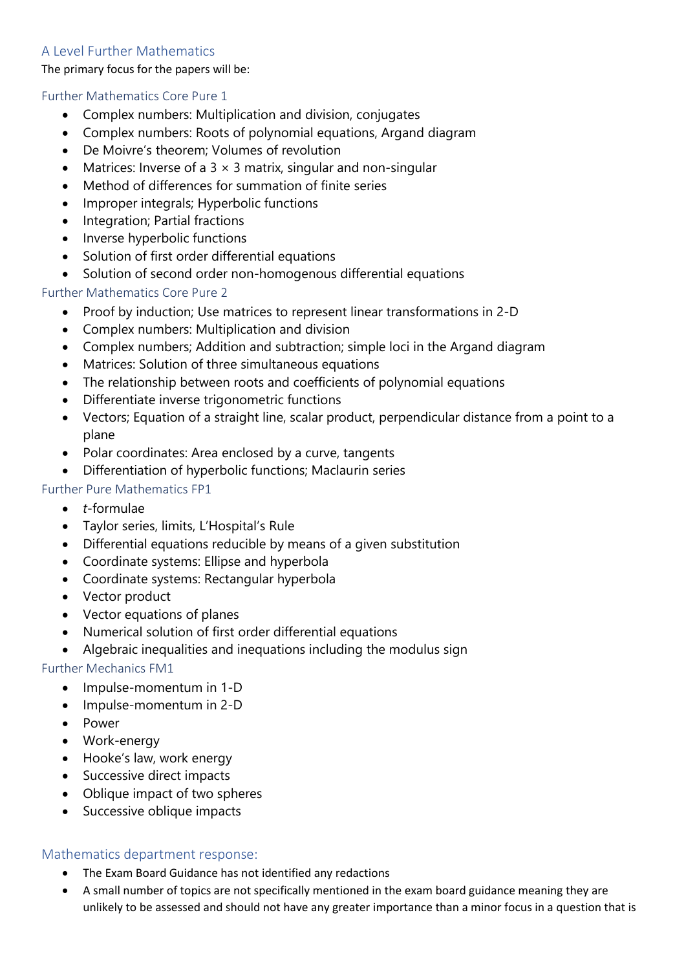## A Level Further Mathematics

The primary focus for the papers will be:

### Further Mathematics Core Pure 1

- Complex numbers: Multiplication and division, conjugates
- Complex numbers: Roots of polynomial equations, Argand diagram
- De Moivre's theorem; Volumes of revolution
- Matrices: Inverse of a  $3 \times 3$  matrix, singular and non-singular
- Method of differences for summation of finite series
- Improper integrals; Hyperbolic functions
- Integration; Partial fractions
- Inverse hyperbolic functions
- Solution of first order differential equations
- Solution of second order non-homogenous differential equations

### Further Mathematics Core Pure 2

- Proof by induction; Use matrices to represent linear transformations in 2-D
- Complex numbers: Multiplication and division
- Complex numbers; Addition and subtraction; simple loci in the Argand diagram
- Matrices: Solution of three simultaneous equations
- The relationship between roots and coefficients of polynomial equations
- Differentiate inverse trigonometric functions
- Vectors; Equation of a straight line, scalar product, perpendicular distance from a point to a plane
- Polar coordinates: Area enclosed by a curve, tangents
- Differentiation of hyperbolic functions; Maclaurin series

### Further Pure Mathematics FP1

- *t*-formulae
- Taylor series, limits, L'Hospital's Rule
- Differential equations reducible by means of a given substitution
- Coordinate systems: Ellipse and hyperbola
- Coordinate systems: Rectangular hyperbola
- Vector product
- Vector equations of planes
- Numerical solution of first order differential equations
- Algebraic inequalities and inequations including the modulus sign

### Further Mechanics FM1

- Impulse-momentum in 1-D
- Impulse-momentum in 2-D
- Power
- Work-energy
- Hooke's law, work energy
- Successive direct impacts
- Oblique impact of two spheres
- Successive oblique impacts

### Mathematics department response:

- The Exam Board Guidance has not identified any redactions
- A small number of topics are not specifically mentioned in the exam board guidance meaning they are unlikely to be assessed and should not have any greater importance than a minor focus in a question that is